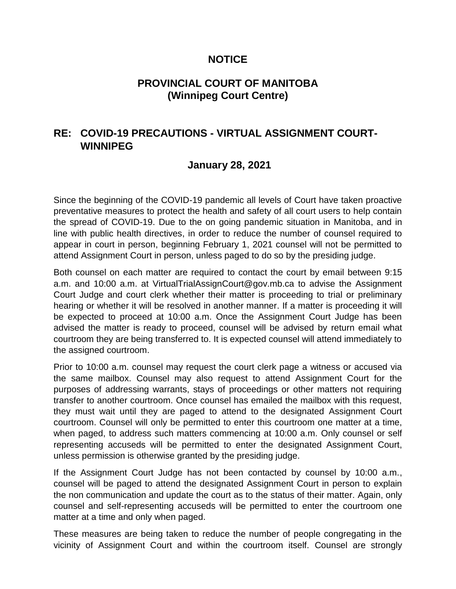## **NOTICE**

## **PROVINCIAL COURT OF MANITOBA (Winnipeg Court Centre)**

# **RE: COVID-19 PRECAUTIONS - VIRTUAL ASSIGNMENT COURT-WINNIPEG**

## **January 28, 2021**

Since the beginning of the COVID-19 pandemic all levels of Court have taken proactive preventative measures to protect the health and safety of all court users to help contain the spread of COVID-19. Due to the on going pandemic situation in Manitoba, and in line with public health directives, in order to reduce the number of counsel required to appear in court in person, beginning February 1, 2021 counsel will not be permitted to attend Assignment Court in person, unless paged to do so by the presiding judge.

Both counsel on each matter are required to contact the court by email between 9:15 a.m. and 10:00 a.m. at VirtualTrialAssignCourt@gov.mb.ca to advise the Assignment Court Judge and court clerk whether their matter is proceeding to trial or preliminary hearing or whether it will be resolved in another manner. If a matter is proceeding it will be expected to proceed at 10:00 a.m. Once the Assignment Court Judge has been advised the matter is ready to proceed, counsel will be advised by return email what courtroom they are being transferred to. It is expected counsel will attend immediately to the assigned courtroom.

Prior to 10:00 a.m. counsel may request the court clerk page a witness or accused via the same mailbox. Counsel may also request to attend Assignment Court for the purposes of addressing warrants, stays of proceedings or other matters not requiring transfer to another courtroom. Once counsel has emailed the mailbox with this request, they must wait until they are paged to attend to the designated Assignment Court courtroom. Counsel will only be permitted to enter this courtroom one matter at a time, when paged, to address such matters commencing at 10:00 a.m. Only counsel or self representing accuseds will be permitted to enter the designated Assignment Court, unless permission is otherwise granted by the presiding judge.

If the Assignment Court Judge has not been contacted by counsel by 10:00 a.m., counsel will be paged to attend the designated Assignment Court in person to explain the non communication and update the court as to the status of their matter. Again, only counsel and self-representing accuseds will be permitted to enter the courtroom one matter at a time and only when paged.

These measures are being taken to reduce the number of people congregating in the vicinity of Assignment Court and within the courtroom itself. Counsel are strongly